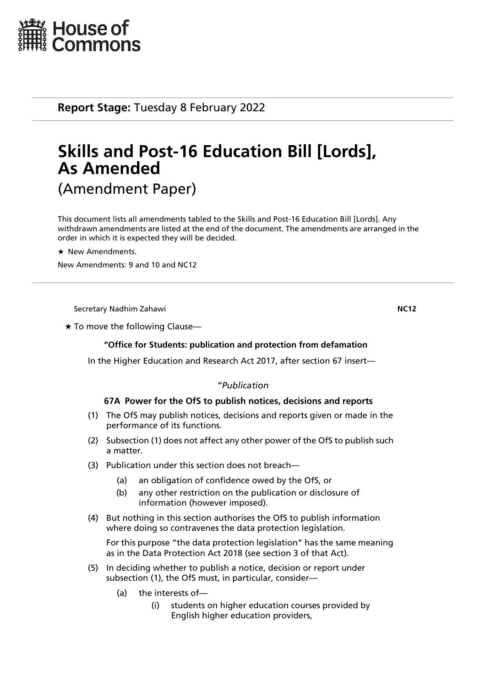

**Report Stage:** Tuesday 8 February 2022

# **Skills and Post-16 Education Bill [Lords], As Amended** (Amendment Paper)

This document lists all amendments tabled to the Skills and Post-16 Education Bill [Lords]. Any withdrawn amendments are listed at the end of the document. The amendments are arranged in the order in which it is expected they will be decided.

 $\star$  New Amendments.

New Amendments: 9 and 10 and NC12

Secretary Nadhim Zahawi **NC12**

 $\star$  To move the following Clause—

# **"Office for Students: publication and protection from defamation**

In the Higher Education and Research Act 2017, after section 67 insert—

# *"Publication*

# **67A Power for the OfS to publish notices, decisions and reports**

- (1) The OfS may publish notices, decisions and reports given or made in the performance of its functions.
- (2) Subsection (1) does not affect any other power of the OfS to publish such a matter.
- (3) Publication under this section does not breach—
	- (a) an obligation of confidence owed by the OfS, or
	- (b) any other restriction on the publication or disclosure of information (however imposed).
- (4) But nothing in this section authorises the OfS to publish information where doing so contravenes the data protection legislation.

For this purpose "the data protection legislation" has the same meaning as in the Data Protection Act 2018 (see section 3 of that Act).

- (5) In deciding whether to publish a notice, decision or report under subsection (1), the OfS must, in particular, consider—
	- (a) the interests of—
		- (i) students on higher education courses provided by English higher education providers,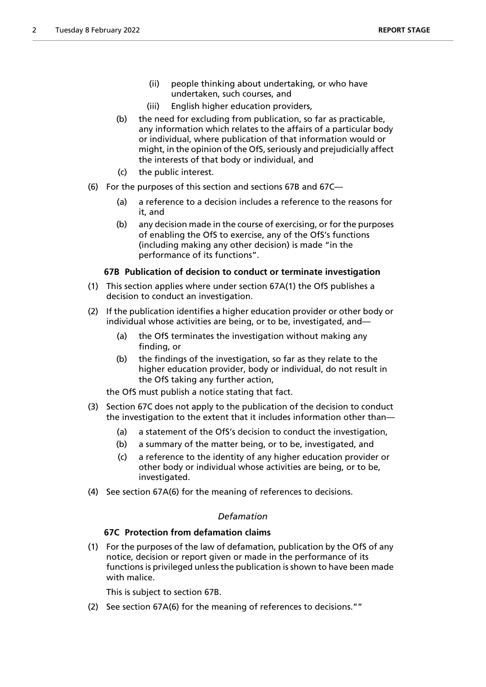- (ii) people thinking about undertaking, or who have undertaken, such courses, and
- (iii) English higher education providers,
- (b) the need for excluding from publication, so far as practicable, any information which relates to the affairs of a particular body or individual, where publication of that information would or might, in the opinion of the OfS, seriously and prejudicially affect the interests of that body or individual, and
- (c) the public interest.
- (6) For the purposes of this section and sections 67B and 67C—
	- (a) a reference to a decision includes a reference to the reasons for it, and
	- (b) any decision made in the course of exercising, or for the purposes of enabling the OfS to exercise, any of the OfS's functions (including making any other decision) is made "in the performance of its functions".

# **67B Publication of decision to conduct or terminate investigation**

- (1) This section applies where under section 67A(1) the OfS publishes a decision to conduct an investigation.
- (2) If the publication identifies a higher education provider or other body or individual whose activities are being, or to be, investigated, and—
	- (a) the OfS terminates the investigation without making any finding, or
	- (b) the findings of the investigation, so far as they relate to the higher education provider, body or individual, do not result in the OfS taking any further action,

the OfS must publish a notice stating that fact.

- (3) Section 67C does not apply to the publication of the decision to conduct the investigation to the extent that it includes information other than—
	- (a) a statement of the OfS's decision to conduct the investigation,
	- (b) a summary of the matter being, or to be, investigated, and
	- (c) a reference to the identity of any higher education provider or other body or individual whose activities are being, or to be, investigated.
- (4) See section 67A(6) for the meaning of references to decisions.

# *Defamation*

# **67C Protection from defamation claims**

(1) For the purposes of the law of defamation, publication by the OfS of any notice, decision or report given or made in the performance of its functions is privileged unless the publication is shown to have been made with malice.

This is subject to section 67B.

(2) See section 67A(6) for the meaning of references to decisions.""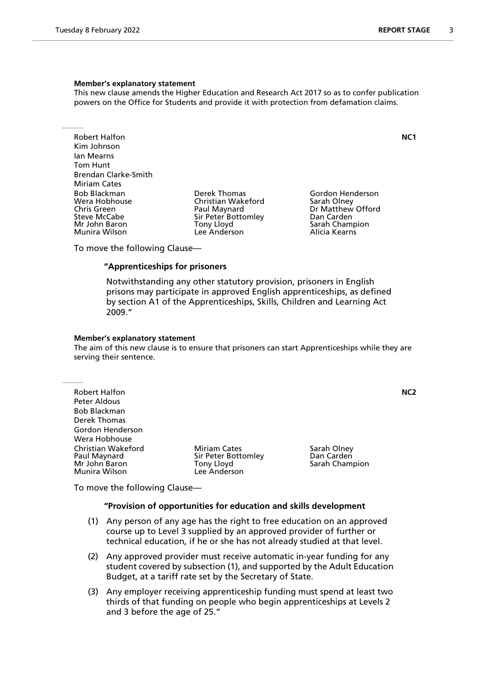#### **Member's explanatory statement**

This new clause amends the Higher Education and Research Act 2017 so as to confer publication powers on the Office for Students and provide it with protection from defamation claims.

Robert Halfon **NC1** Kim Johnson Ian Mearns Tom Hunt Brendan Clarke-Smith Miriam Cates<br>Bob Blackman Bob Blackman Derek Thomas Gordon Henderson Wera Hobhouse Christian Wakeford<br>
Chris Green Christian Olau Paul Maynard Steve McCabe Sir Peter Bottomley San Carden<br>1991 - Sarah Chammer Sarah Chammer Sarah Chammer Sarah Chammer Sarah Chammer Sarah Chammer Sarah Chammer Sarah Munira Wilson

Mony Lloyd **Sarah Champion**<br>
Lee Anderson Lee Anderson

Dr Matthew Offord

To move the following Clause—

# **"Apprenticeships for prisoners**

 Notwithstanding any other statutory provision, prisoners in English prisons may participate in approved English apprenticeships, as defined by section A1 of the Apprenticeships, Skills, Children and Learning Act 2009."

#### **Member's explanatory statement**

The aim of this new clause is to ensure that prisoners can start Apprenticeships while they are serving their sentence.

Robert Halfon **NC2** Peter Aldous Bob Blackman Derek Thomas Gordon Henderson Wera Hobhouse Christian Wakeford **Miriam Cates** Sarah Olney<br>
Paul Maynard **Miriam Cates Sir Peter Bottomley** Dan Carden Paul Maynard Sir Peter Bottomley Dan Carden Munira Wilson

Tony Lloyd **Sarah Champion**<br>Lee Anderson

To move the following Clause—

#### **"Provision of opportunities for education and skills development**

- (1) Any person of any age has the right to free education on an approved course up to Level 3 supplied by an approved provider of further or technical education, if he or she has not already studied at that level.
- (2) Any approved provider must receive automatic in-year funding for any student covered by subsection (1), and supported by the Adult Education Budget, at a tariff rate set by the Secretary of State.
- (3) Any employer receiving apprenticeship funding must spend at least two thirds of that funding on people who begin apprenticeships at Levels 2 and 3 before the age of 25."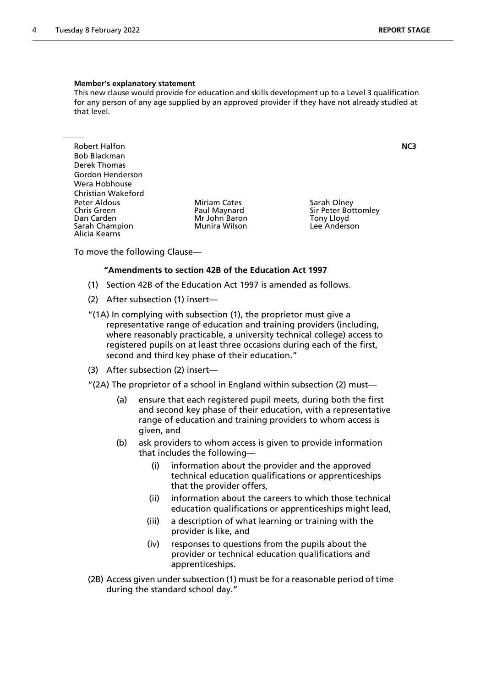#### **Member's explanatory statement**

This new clause would provide for education and skills development up to a Level 3 qualification for any person of any age supplied by an approved provider if they have not already studied at that level.

Robert Halfon **NC3** Bob Blackman Derek Thomas Gordon Henderson Wera Hobhouse Christian Wakeford Peter Aldous **Miriam Cates** Sarah Olney<br>
Chris Green **Sarah Olney Chris Chris Chris Creen** Sir Peter Bot Chris Green The Paul Maynard Sir Peter Bottomley<br>
Dan Carden The Sir Peter Bottomley<br>
Mr John Baron The Sir Peter Bottomley Sarah Champion Alicia Kearns

Mr John Baron Tony Lloyd<br>Munira Wilson The Lee Anderson

To move the following Clause—

#### **"Amendments to section 42B of the Education Act 1997**

- (1) Section 42B of the Education Act 1997 is amended as follows.
- (2) After subsection (1) insert—
- "(1A) In complying with subsection (1), the proprietor must give a representative range of education and training providers (including, where reasonably practicable, a university technical college) access to registered pupils on at least three occasions during each of the first, second and third key phase of their education."
- (3) After subsection (2) insert—
- "(2A) The proprietor of a school in England within subsection (2) must—
	- (a) ensure that each registered pupil meets, during both the first and second key phase of their education, with a representative range of education and training providers to whom access is given, and
	- (b) ask providers to whom access is given to provide information that includes the following—
		- (i) information about the provider and the approved technical education qualifications or apprenticeships that the provider offers,
		- (ii) information about the careers to which those technical education qualifications or apprenticeships might lead,
		- (iii) a description of what learning or training with the provider is like, and
		- (iv) responses to questions from the pupils about the provider or technical education qualifications and apprenticeships.
- (2B) Access given under subsection (1) must be for a reasonable period of time during the standard school day."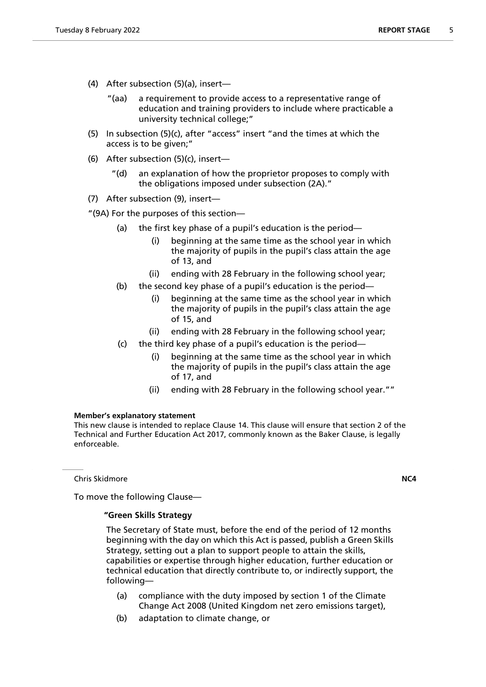- (4) After subsection (5)(a), insert—
	- "(aa) a requirement to provide access to a representative range of education and training providers to include where practicable a university technical college;"
- (5) In subsection (5)(c), after "access" insert "and the times at which the access is to be given;"
- (6) After subsection (5)(c), insert—
	- "(d) an explanation of how the proprietor proposes to comply with the obligations imposed under subsection (2A)."
- (7) After subsection (9), insert—

"(9A) For the purposes of this section—

- (a) the first key phase of a pupil's education is the period—
	- (i) beginning at the same time as the school year in which the majority of pupils in the pupil's class attain the age of 13, and
	- (ii) ending with 28 February in the following school year;
- (b) the second key phase of a pupil's education is the period—
	- (i) beginning at the same time as the school year in which the majority of pupils in the pupil's class attain the age of 15, and
	- (ii) ending with 28 February in the following school year;
- (c) the third key phase of a pupil's education is the period
	- beginning at the same time as the school year in which the majority of pupils in the pupil's class attain the age of 17, and
	- (ii) ending with 28 February in the following school year.""

#### **Member's explanatory statement**

This new clause is intended to replace Clause 14. This clause will ensure that section 2 of the Technical and Further Education Act 2017, commonly known as the Baker Clause, is legally enforceable.

Chris Skidmore **NC4**

To move the following Clause—

#### **"Green Skills Strategy**

 The Secretary of State must, before the end of the period of 12 months beginning with the day on which this Act is passed, publish a Green Skills Strategy, setting out a plan to support people to attain the skills, capabilities or expertise through higher education, further education or technical education that directly contribute to, or indirectly support, the following—

- (a) compliance with the duty imposed by section 1 of the Climate Change Act 2008 (United Kingdom net zero emissions target),
- (b) adaptation to climate change, or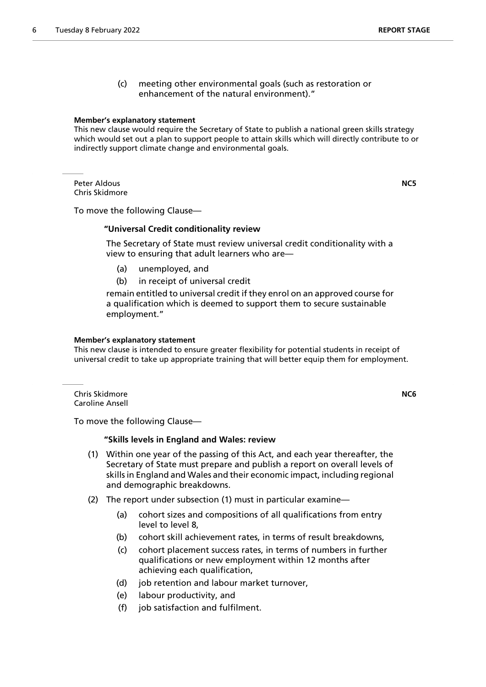(c) meeting other environmental goals (such as restoration or enhancement of the natural environment)."

#### **Member's explanatory statement**

This new clause would require the Secretary of State to publish a national green skills strategy which would set out a plan to support people to attain skills which will directly contribute to or indirectly support climate change and environmental goals.

Peter Aldous **NC5** Chris Skidmore

To move the following Clause—

#### **"Universal Credit conditionality review**

 The Secretary of State must review universal credit conditionality with a view to ensuring that adult learners who are—

- (a) unemployed, and
- (b) in receipt of universal credit

remain entitled to universal credit if they enrol on an approved course for a qualification which is deemed to support them to secure sustainable employment."

#### **Member's explanatory statement**

This new clause is intended to ensure greater flexibility for potential students in receipt of universal credit to take up appropriate training that will better equip them for employment.

Chris Skidmore **NC6** Caroline Ansell

To move the following Clause—

#### **"Skills levels in England and Wales: review**

- (1) Within one year of the passing of this Act, and each year thereafter, the Secretary of State must prepare and publish a report on overall levels of skills in England and Wales and their economic impact, including regional and demographic breakdowns.
- (2) The report under subsection (1) must in particular examine—
	- (a) cohort sizes and compositions of all qualifications from entry level to level 8,
	- (b) cohort skill achievement rates, in terms of result breakdowns,
	- (c) cohort placement success rates, in terms of numbers in further qualifications or new employment within 12 months after achieving each qualification,
	- (d) job retention and labour market turnover,
	- (e) labour productivity, and
	- (f) job satisfaction and fulfilment.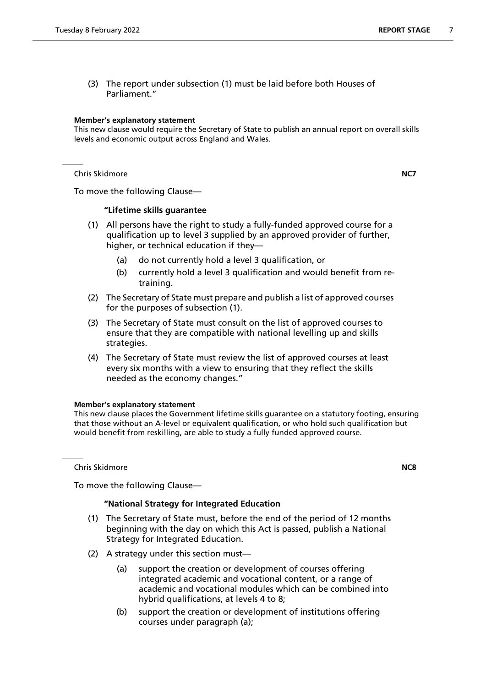(3) The report under subsection (1) must be laid before both Houses of Parliament."

#### **Member's explanatory statement**

This new clause would require the Secretary of State to publish an annual report on overall skills levels and economic output across England and Wales.

Chris Skidmore **NC7**

To move the following Clause—

# **"Lifetime skills guarantee**

- (1) All persons have the right to study a fully-funded approved course for a qualification up to level 3 supplied by an approved provider of further, higher, or technical education if they—
	- (a) do not currently hold a level 3 qualification, or
	- (b) currently hold a level 3 qualification and would benefit from retraining.
- (2) The Secretary of State must prepare and publish a list of approved courses for the purposes of subsection (1).
- (3) The Secretary of State must consult on the list of approved courses to ensure that they are compatible with national levelling up and skills strategies.
- (4) The Secretary of State must review the list of approved courses at least every six months with a view to ensuring that they reflect the skills needed as the economy changes."

# **Member's explanatory statement**

This new clause places the Government lifetime skills guarantee on a statutory footing, ensuring that those without an A-level or equivalent qualification, or who hold such qualification but would benefit from reskilling, are able to study a fully funded approved course.

Chris Skidmore **NC8**

# To move the following Clause—

# **"National Strategy for Integrated Education**

- (1) The Secretary of State must, before the end of the period of 12 months beginning with the day on which this Act is passed, publish a National Strategy for Integrated Education.
- (2) A strategy under this section must—
	- (a) support the creation or development of courses offering integrated academic and vocational content, or a range of academic and vocational modules which can be combined into hybrid qualifications, at levels 4 to 8;
	- (b) support the creation or development of institutions offering courses under paragraph (a);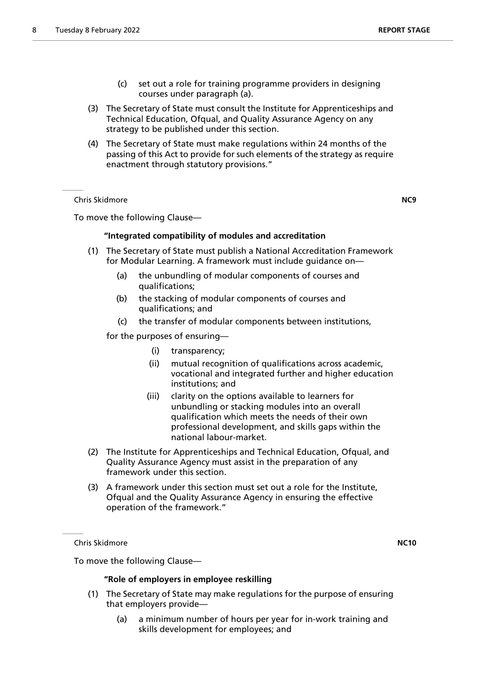- (c) set out a role for training programme providers in designing courses under paragraph (a).
- (3) The Secretary of State must consult the Institute for Apprenticeships and Technical Education, Ofqual, and Quality Assurance Agency on any strategy to be published under this section.
- (4) The Secretary of State must make regulations within 24 months of the passing of this Act to provide for such elements of the strategy as require enactment through statutory provisions."

Chris Skidmore **NC9**

To move the following Clause—

# **"Integrated compatibility of modules and accreditation**

- (1) The Secretary of State must publish a National Accreditation Framework for Modular Learning. A framework must include guidance on—
	- (a) the unbundling of modular components of courses and qualifications;
	- (b) the stacking of modular components of courses and qualifications; and
	- (c) the transfer of modular components between institutions,

for the purposes of ensuring—

- (i) transparency;
- (ii) mutual recognition of qualifications across academic, vocational and integrated further and higher education institutions; and
- (iii) clarity on the options available to learners for unbundling or stacking modules into an overall qualification which meets the needs of their own professional development, and skills gaps within the national labour-market.
- (2) The Institute for Apprenticeships and Technical Education, Ofqual, and Quality Assurance Agency must assist in the preparation of any framework under this section.
- (3) A framework under this section must set out a role for the Institute, Ofqual and the Quality Assurance Agency in ensuring the effective operation of the framework."

Chris Skidmore **NC10**

To move the following Clause—

# **"Role of employers in employee reskilling**

- (1) The Secretary of State may make regulations for the purpose of ensuring that employers provide—
	- (a) a minimum number of hours per year for in-work training and skills development for employees; and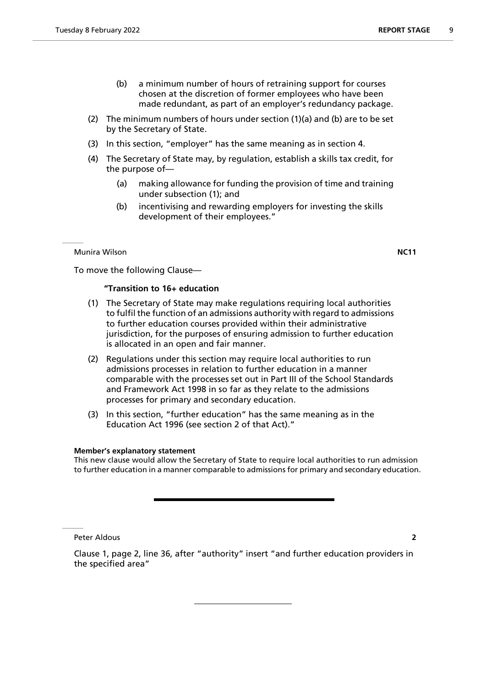- (b) a minimum number of hours of retraining support for courses chosen at the discretion of former employees who have been made redundant, as part of an employer's redundancy package.
- (2) The minimum numbers of hours under section (1)(a) and (b) are to be set by the Secretary of State.
- (3) In this section, "employer" has the same meaning as in section 4.
- (4) The Secretary of State may, by regulation, establish a skills tax credit, for the purpose of—
	- (a) making allowance for funding the provision of time and training under subsection (1); and
	- (b) incentivising and rewarding employers for investing the skills development of their employees."

#### Munira Wilson **NC11**

To move the following Clause—

#### **"Transition to 16+ education**

- (1) The Secretary of State may make regulations requiring local authorities to fulfil the function of an admissions authority with regard to admissions to further education courses provided within their administrative jurisdiction, for the purposes of ensuring admission to further education is allocated in an open and fair manner.
- (2) Regulations under this section may require local authorities to run admissions processes in relation to further education in a manner comparable with the processes set out in Part III of the School Standards and Framework Act 1998 in so far as they relate to the admissions processes for primary and secondary education.
- (3) In this section, "further education" has the same meaning as in the Education Act 1996 (see section 2 of that Act)."

#### **Member's explanatory statement**

This new clause would allow the Secretary of State to require local authorities to run admission to further education in a manner comparable to admissions for primary and secondary education.

Peter Aldous **2**

the specified area"

Clause 1, page 2, line 36, after "authority" insert "and further education providers in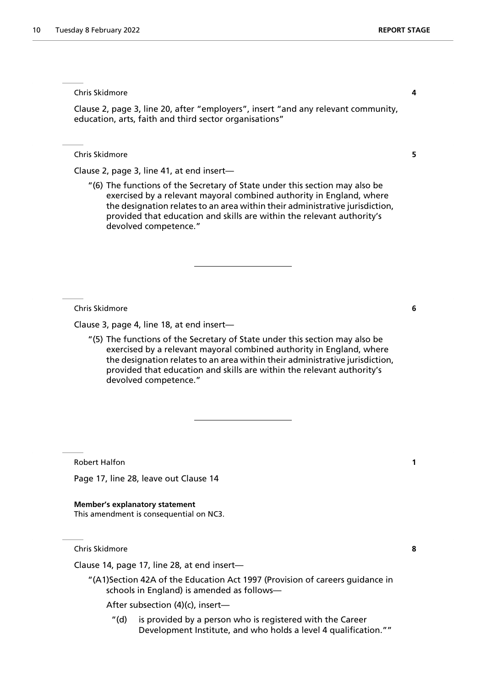Chris Skidmore **4**

Clause 2, page 3, line 20, after "employers", insert "and any relevant community, education, arts, faith and third sector organisations"

Chris Skidmore **5**

Clause 2, page 3, line 41, at end insert—

"(6) The functions of the Secretary of State under this section may also be exercised by a relevant mayoral combined authority in England, where the designation relates to an area within their administrative jurisdiction, provided that education and skills are within the relevant authority's devolved competence."

Chris Skidmore **6**

Clause 3, page 4, line 18, at end insert—

"(5) The functions of the Secretary of State under this section may also be exercised by a relevant mayoral combined authority in England, where the designation relates to an area within their administrative jurisdiction, provided that education and skills are within the relevant authority's devolved competence."

Robert Halfon **1**

Page 17, line 28, leave out Clause 14

**Member's explanatory statement** This amendment is consequential on NC3.

Chris Skidmore **8**

Clause 14, page 17, line 28, at end insert—

"(A1)Section 42A of the Education Act 1997 (Provision of careers guidance in schools in England) is amended as follows—

After subsection (4)(c), insert—

"(d) is provided by a person who is registered with the Career Development Institute, and who holds a level 4 qualification.""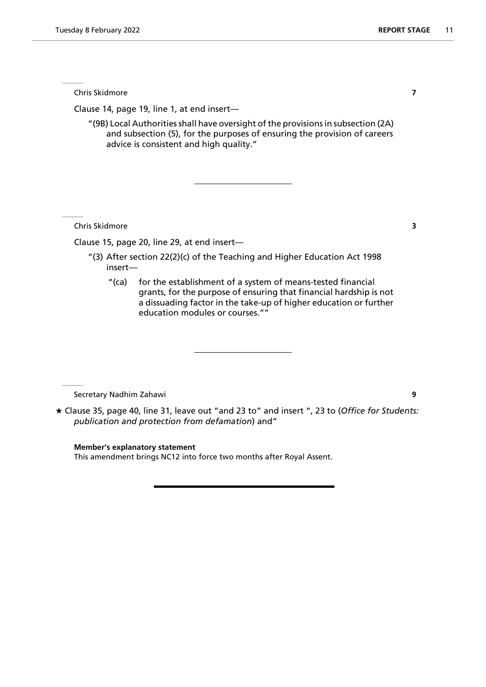Chris Skidmore **7**

Clause 14, page 19, line 1, at end insert—

"(9B) Local Authorities shall have oversight of the provisions in subsection (2A) and subsection (5), for the purposes of ensuring the provision of careers advice is consistent and high quality."

Chris Skidmore **3**

Clause 15, page 20, line 29, at end insert—

- "(3) After section 22(2)(c) of the Teaching and Higher Education Act 1998 insert—
	- "(ca) for the establishment of a system of means-tested financial grants, for the purpose of ensuring that financial hardship is not a dissuading factor in the take-up of higher education or further education modules or courses.""

Secretary Nadhim Zahawi **9**

 Clause 35, page 40, line 31, leave out "and 23 to" and insert ", 23 to (*Office for Students: publication and protection from defamation*) and"

**Member's explanatory statement** This amendment brings NC12 into force two months after Royal Assent.